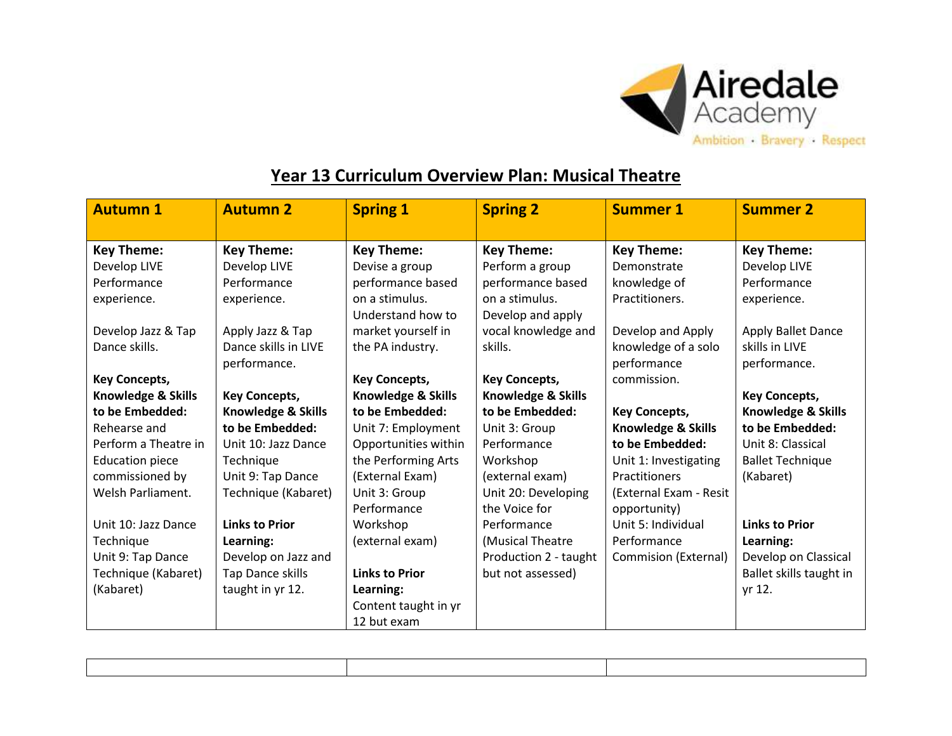

## **Year 13 Curriculum Overview Plan: Musical Theatre**

| <b>Autumn 1</b>        | <b>Autumn 2</b>       | <b>Spring 1</b>               | <b>Spring 2</b>       | <b>Summer 1</b>        | <b>Summer 2</b>         |
|------------------------|-----------------------|-------------------------------|-----------------------|------------------------|-------------------------|
|                        |                       |                               |                       |                        |                         |
| <b>Key Theme:</b>      | <b>Key Theme:</b>     | <b>Key Theme:</b>             | <b>Key Theme:</b>     | <b>Key Theme:</b>      | <b>Key Theme:</b>       |
| Develop LIVE           | Develop LIVE          | Devise a group                | Perform a group       | Demonstrate            | Develop LIVE            |
| Performance            | Performance           | performance based             | performance based     | knowledge of           | Performance             |
| experience.            | experience.           | on a stimulus.                | on a stimulus.        | Practitioners.         | experience.             |
|                        |                       | Understand how to             | Develop and apply     |                        |                         |
| Develop Jazz & Tap     | Apply Jazz & Tap      | market yourself in            | vocal knowledge and   | Develop and Apply      | Apply Ballet Dance      |
| Dance skills.          | Dance skills in LIVE  | the PA industry.              | skills.               | knowledge of a solo    | skills in LIVE          |
|                        | performance.          |                               |                       | performance            | performance.            |
| <b>Key Concepts,</b>   |                       | <b>Key Concepts,</b>          | <b>Key Concepts,</b>  | commission.            |                         |
| Knowledge & Skills     | <b>Key Concepts,</b>  | <b>Knowledge &amp; Skills</b> | Knowledge & Skills    |                        | <b>Key Concepts,</b>    |
| to be Embedded:        | Knowledge & Skills    | to be Embedded:               | to be Embedded:       | <b>Key Concepts,</b>   | Knowledge & Skills      |
| Rehearse and           | to be Embedded:       | Unit 7: Employment            | Unit 3: Group         | Knowledge & Skills     | to be Embedded:         |
| Perform a Theatre in   | Unit 10: Jazz Dance   | Opportunities within          | Performance           | to be Embedded:        | Unit 8: Classical       |
| <b>Education piece</b> | Technique             | the Performing Arts           | Workshop              | Unit 1: Investigating  | <b>Ballet Technique</b> |
| commissioned by        | Unit 9: Tap Dance     | (External Exam)               | (external exam)       | Practitioners          | (Kabaret)               |
| Welsh Parliament.      | Technique (Kabaret)   | Unit 3: Group                 | Unit 20: Developing   | (External Exam - Resit |                         |
|                        |                       | Performance                   | the Voice for         | opportunity)           |                         |
| Unit 10: Jazz Dance    | <b>Links to Prior</b> | Workshop                      | Performance           | Unit 5: Individual     | <b>Links to Prior</b>   |
| Technique              | Learning:             | (external exam)               | (Musical Theatre      | Performance            | Learning:               |
| Unit 9: Tap Dance      | Develop on Jazz and   |                               | Production 2 - taught | Commision (External)   | Develop on Classical    |
| Technique (Kabaret)    | Tap Dance skills      | <b>Links to Prior</b>         | but not assessed)     |                        | Ballet skills taught in |
| (Kabaret)              | taught in yr 12.      | Learning:                     |                       |                        | yr 12.                  |
|                        |                       | Content taught in yr          |                       |                        |                         |
|                        |                       | 12 but exam                   |                       |                        |                         |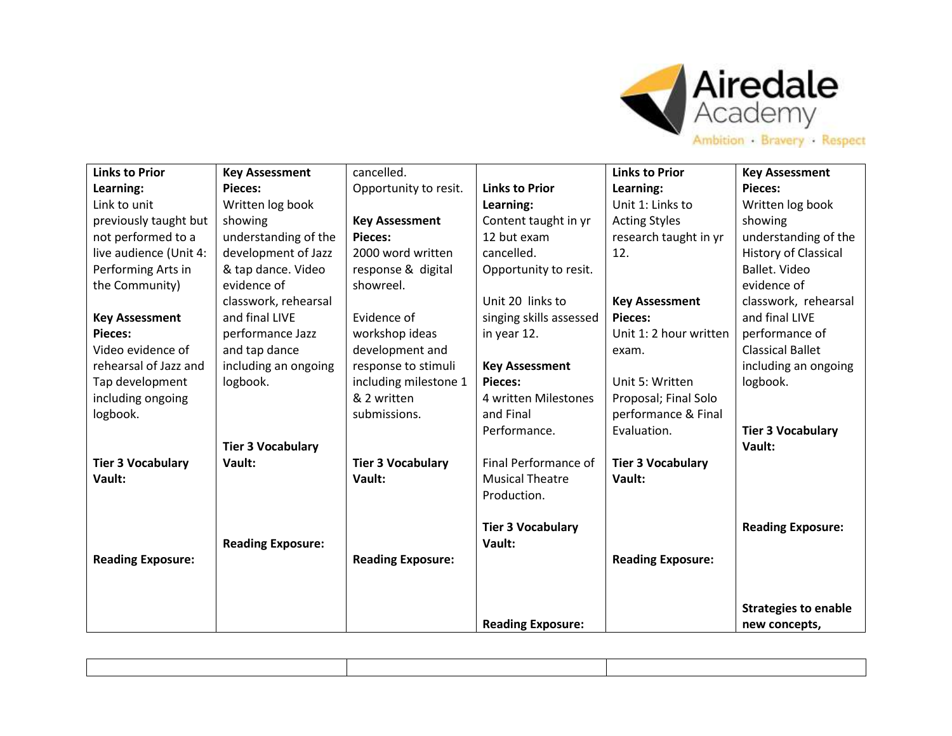

| <b>Links to Prior</b>    | <b>Key Assessment</b>    | cancelled.               |                          | <b>Links to Prior</b>    | <b>Key Assessment</b>       |
|--------------------------|--------------------------|--------------------------|--------------------------|--------------------------|-----------------------------|
| Learning:                | <b>Pieces:</b>           | Opportunity to resit.    | <b>Links to Prior</b>    | Learning:                | <b>Pieces:</b>              |
| Link to unit             | Written log book         |                          | Learning:                | Unit 1: Links to         | Written log book            |
| previously taught but    | showing                  | <b>Key Assessment</b>    | Content taught in yr     | <b>Acting Styles</b>     | showing                     |
| not performed to a       | understanding of the     | <b>Pieces:</b>           | 12 but exam              | research taught in yr    | understanding of the        |
| live audience (Unit 4:   | development of Jazz      | 2000 word written        | cancelled.               | 12.                      | <b>History of Classical</b> |
| Performing Arts in       | & tap dance. Video       | response & digital       | Opportunity to resit.    |                          | Ballet. Video               |
| the Community)           | evidence of              | showreel.                |                          |                          | evidence of                 |
|                          | classwork, rehearsal     |                          | Unit 20 links to         | <b>Key Assessment</b>    | classwork, rehearsal        |
| <b>Key Assessment</b>    | and final LIVE           | Evidence of              | singing skills assessed  | <b>Pieces:</b>           | and final LIVE              |
| <b>Pieces:</b>           | performance Jazz         | workshop ideas           | in year 12.              | Unit 1: 2 hour written   | performance of              |
| Video evidence of        | and tap dance            | development and          |                          | exam.                    | <b>Classical Ballet</b>     |
| rehearsal of Jazz and    | including an ongoing     | response to stimuli      | <b>Key Assessment</b>    |                          | including an ongoing        |
| Tap development          | logbook.                 | including milestone 1    | <b>Pieces:</b>           | Unit 5: Written          | logbook.                    |
| including ongoing        |                          | & 2 written              | 4 written Milestones     | Proposal; Final Solo     |                             |
| logbook.                 |                          | submissions.             | and Final                | performance & Final      |                             |
|                          |                          |                          | Performance.             | Evaluation.              | <b>Tier 3 Vocabulary</b>    |
|                          | <b>Tier 3 Vocabulary</b> |                          |                          |                          | Vault:                      |
| <b>Tier 3 Vocabulary</b> | Vault:                   | <b>Tier 3 Vocabulary</b> | Final Performance of     | <b>Tier 3 Vocabulary</b> |                             |
| Vault:                   |                          | Vault:                   | <b>Musical Theatre</b>   | Vault:                   |                             |
|                          |                          |                          | Production.              |                          |                             |
|                          |                          |                          |                          |                          |                             |
|                          |                          |                          | <b>Tier 3 Vocabulary</b> |                          | <b>Reading Exposure:</b>    |
|                          | <b>Reading Exposure:</b> |                          | Vault:                   |                          |                             |
| <b>Reading Exposure:</b> |                          | <b>Reading Exposure:</b> |                          | <b>Reading Exposure:</b> |                             |
|                          |                          |                          |                          |                          |                             |
|                          |                          |                          |                          |                          |                             |
|                          |                          |                          |                          |                          | <b>Strategies to enable</b> |
|                          |                          |                          | <b>Reading Exposure:</b> |                          | new concepts,               |